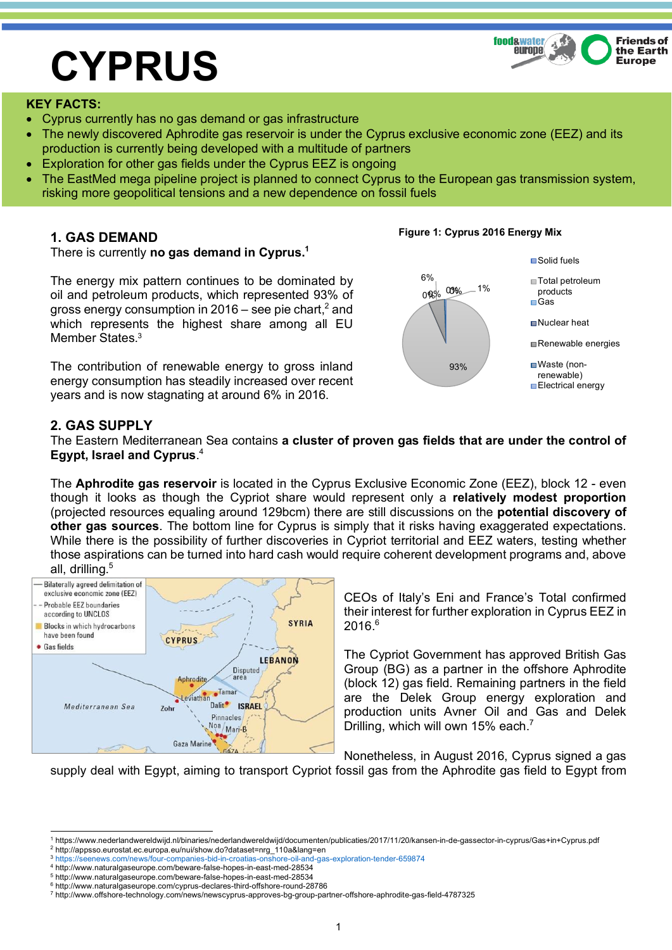# **CYPRUS**



#### **KEY FACTS:**

- Cyprus currently has no gas demand or gas infrastructure
- The newly discovered Aphrodite gas reservoir is under the Cyprus exclusive economic zone (EEZ) and its production is currently being developed with a multitude of partners
- Exploration for other gas fields under the Cyprus EEZ is ongoing
- The EastMed mega pipeline project is planned to connect Cyprus to the European gas transmission system, risking more geopolitical tensions and a new dependence on fossil fuels

### **1. GAS DEMAND**

There is currently **no gas demand in Cyprus.1**

The energy mix pattern continues to be dominated by oil and petroleum products, which represented 93% of gross energy consumption in 2016 – see pie chart,<sup>2</sup> and which represents the highest share among all EU Member States.<sup>3</sup>

The contribution of renewable energy to gross inland energy consumption has steadily increased over recent years and is now stagnating at around 6% in 2016.



## **2. GAS SUPPLY**

The Eastern Mediterranean Sea contains **a cluster of proven gas fields that are under the control of Egypt, Israel and Cyprus**. 4

The **Aphrodite gas reservoir** is located in the Cyprus Exclusive Economic Zone (EEZ), block 12 - even though it looks as though the Cypriot share would represent only a **relatively modest proportion** (projected resources equaling around 129bcm) there are still discussions on the **potential discovery of other gas sources**. The bottom line for Cyprus is simply that it risks having exaggerated expectations. While there is the possibility of further discoveries in Cypriot territorial and EEZ waters, testing whether those aspirations can be turned into hard cash would require coherent development programs and, above all, drilling.<sup>5</sup>



CEOs of Italy's Eni and France's Total confirmed their interest for further exploration in Cyprus EEZ in  $2016<sup>6</sup>$ 

The Cypriot Government has approved British Gas Group (BG) as a partner in the offshore Aphrodite (block 12) gas field. Remaining partners in the field are the Delek Group energy exploration and production units Avner Oil and Gas and Delek Drilling, which will own 15% each.<sup>7</sup>

Nonetheless, in August 2016, Cyprus signed a gas supply deal with Egypt, aiming to transport Cypriot fossil gas from the Aphrodite gas field to Egypt from

<sup>2</sup> http://appsso.eurostat.ec.europa.eu/nui/show.do?dataset=nrg\_110a&lang=en

#### **Figure 1: Cyprus 2016 Energy Mix**

 <sup>1</sup> https://www.nederlandwereldwijd.nl/binaries/nederlandwereldwijd/documenten/publicaties/2017/11/20/kansen-in-de-gassector-in-cyprus/Gas+in+Cyprus.pdf

<sup>3</sup> https://seenews.com/news/four-companies-bid-in-croatias-onshore-oil-and-gas-exploration-tender-659874

<sup>4</sup> http://www.naturalgaseurope.com/beware-false-hopes-in-east-med-28534

<sup>5</sup> http://www.naturalgaseurope.com/beware-false-hopes-in-east-med-28534

<sup>6</sup> http://www.naturalgaseurope.com/cyprus-declares-third-offshore-round-28786

<sup>7</sup> http://www.offshore-technology.com/news/newscyprus-approves-bg-group-partner-offshore-aphrodite-gas-field-4787325